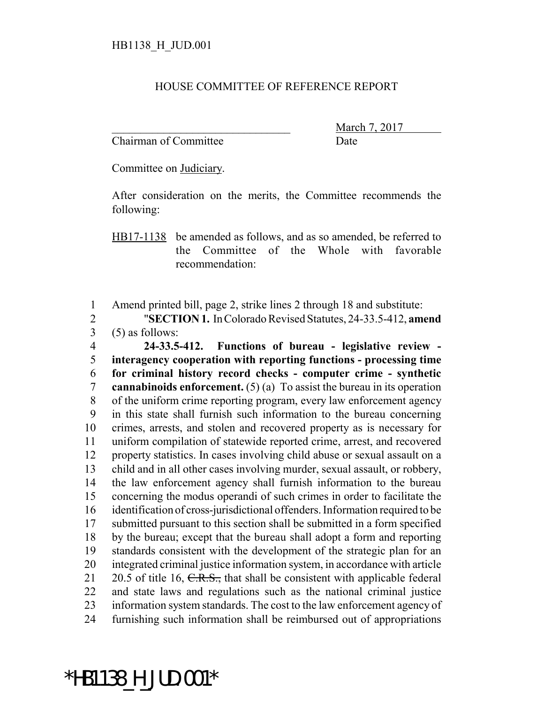## HOUSE COMMITTEE OF REFERENCE REPORT

Chairman of Committee Date

March 7, 2017

Committee on Judiciary.

After consideration on the merits, the Committee recommends the following:

HB17-1138 be amended as follows, and as so amended, be referred to the Committee of the Whole with favorable recommendation:

Amend printed bill, page 2, strike lines 2 through 18 and substitute:

 "**SECTION 1.** In Colorado Revised Statutes, 24-33.5-412, **amend** (5) as follows:

 **24-33.5-412. Functions of bureau - legislative review - interagency cooperation with reporting functions - processing time for criminal history record checks - computer crime - synthetic cannabinoids enforcement.** (5) (a) To assist the bureau in its operation of the uniform crime reporting program, every law enforcement agency in this state shall furnish such information to the bureau concerning crimes, arrests, and stolen and recovered property as is necessary for uniform compilation of statewide reported crime, arrest, and recovered property statistics. In cases involving child abuse or sexual assault on a child and in all other cases involving murder, sexual assault, or robbery, the law enforcement agency shall furnish information to the bureau concerning the modus operandi of such crimes in order to facilitate the identification of cross-jurisdictional offenders. Information required to be submitted pursuant to this section shall be submitted in a form specified by the bureau; except that the bureau shall adopt a form and reporting standards consistent with the development of the strategic plan for an integrated criminal justice information system, in accordance with article 21 20.5 of title 16,  $C.R.S.,$  that shall be consistent with applicable federal and state laws and regulations such as the national criminal justice information system standards. The cost to the law enforcement agency of furnishing such information shall be reimbursed out of appropriations

## \*HB1138\_H\_JUD.001\*